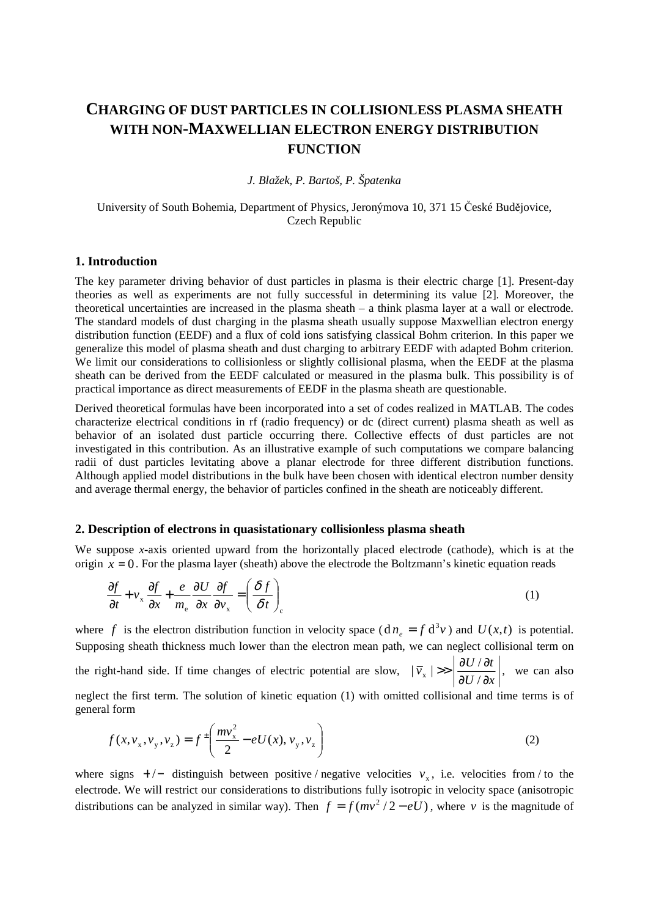# **CHARGING OF DUST PARTICLES IN COLLISIONLESS PLASMA SHEATH WITH NON-MAXWELLIAN ELECTRON ENERGY DISTRIBUTION FUNCTION**

## *J. Blažek, P. Bartoš, P. Špatenka*

### University of South Bohemia, Department of Physics, Jeronýmova 10, 371 15 České Budějovice, Czech Republic

#### **1. Introduction**

The key parameter driving behavior of dust particles in plasma is their electric charge [1]. Present-day theories as well as experiments are not fully successful in determining its value [2]. Moreover, the theoretical uncertainties are increased in the plasma sheath – a think plasma layer at a wall or electrode. The standard models of dust charging in the plasma sheath usually suppose Maxwellian electron energy distribution function (EEDF) and a flux of cold ions satisfying classical Bohm criterion. In this paper we generalize this model of plasma sheath and dust charging to arbitrary EEDF with adapted Bohm criterion. We limit our considerations to collisionless or slightly collisional plasma, when the EEDF at the plasma sheath can be derived from the EEDF calculated or measured in the plasma bulk. This possibility is of practical importance as direct measurements of EEDF in the plasma sheath are questionable.

Derived theoretical formulas have been incorporated into a set of codes realized in MATLAB. The codes characterize electrical conditions in rf (radio frequency) or dc (direct current) plasma sheath as well as behavior of an isolated dust particle occurring there. Collective effects of dust particles are not investigated in this contribution. As an illustrative example of such computations we compare balancing radii of dust particles levitating above a planar electrode for three different distribution functions. Although applied model distributions in the bulk have been chosen with identical electron number density and average thermal energy, the behavior of particles confined in the sheath are noticeably different.

#### **2. Description of electrons in quasistationary collisionless plasma sheath**

We suppose *x*-axis oriented upward from the horizontally placed electrode (cathode), which is at the origin  $x = 0$ . For the plasma layer (sheath) above the electrode the Boltzmann's kinetic equation reads

$$
\frac{\partial f}{\partial t} + v_x \frac{\partial f}{\partial x} + \frac{e}{m_e} \frac{\partial U}{\partial x} \frac{\partial f}{\partial v_x} = \left(\frac{\delta f}{\delta t}\right)_c \tag{1}
$$

where f is the electron distribution function in velocity space  $(dn_e = f d^3 v)$  and  $U(x,t)$  is potential. Supposing sheath thickness much lower than the electron mean path, we can neglect collisional term on the right-hand side. If time changes of electric potential are slow,  $U/\partial x$  $\bar{v}_x$  |>>  $\frac{\partial U / \partial t}{\partial x}$ ∂ ∂  $>> \left| \frac{\partial U}{\partial \phi} \right|$ /  $|\overline{v}_{x}| \gg \left| \frac{\partial U / \partial t}{\partial U / \partial x} \right|$ , we can also neglect the first term. The solution of kinetic equation (1) with omitted collisional and time terms is of general form

$$
f(x, v_x, v_y, v_z) = f^{\pm} \left( \frac{mv_x^2}{2} - eU(x), v_y, v_z \right)
$$
 (2)

where signs  $+/-$  distinguish between positive / negative velocities  $v<sub>x</sub>$ , i.e. velocities from / to the electrode. We will restrict our considerations to distributions fully isotropic in velocity space (anisotropic distributions can be analyzed in similar way). Then  $f = f(mv^2 / 2 - eU)$ , where *v* is the magnitude of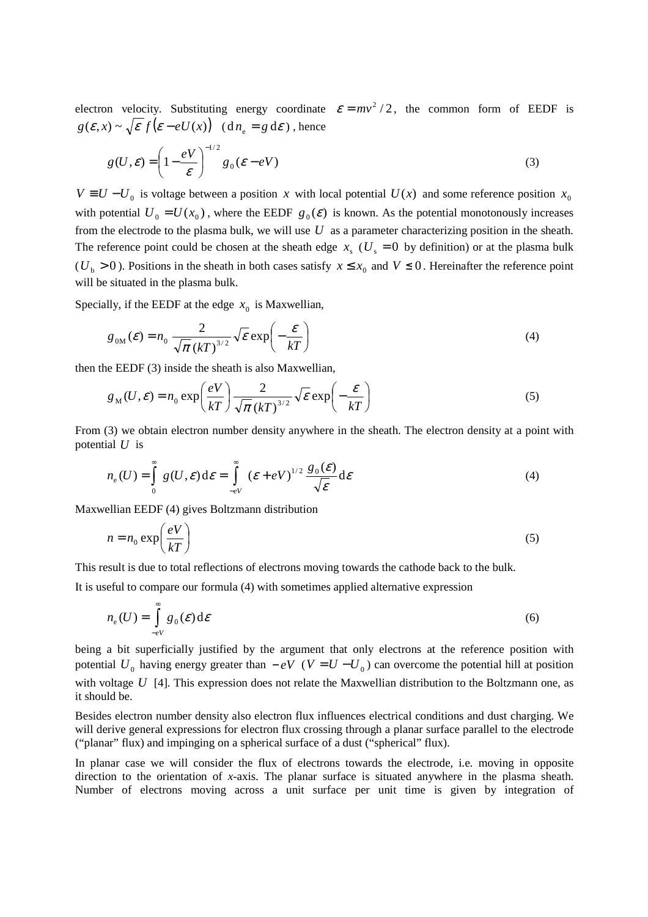electron velocity. Substituting energy coordinate  $\varepsilon = mv^2/2$ , the common form of EEDF is  $g(\varepsilon, x) \sim \sqrt{\varepsilon f(\varepsilon - eU(x))}$  (d $n_e = g d\varepsilon$ ), hence

$$
g(U,\varepsilon) = \left(1 - \frac{eV}{\varepsilon}\right)^{-1/2} g_0(\varepsilon - eV)
$$
\n(3)

 $V = U - U_0$  is voltage between a position *x* with local potential  $U(x)$  and some reference position  $x_0$ with potential  $U_0 = U(x_0)$ , where the EEDF  $g_0(\varepsilon)$  is known. As the potential monotonously increases from the electrode to the plasma bulk, we will use *U* as a parameter characterizing position in the sheath. The reference point could be chosen at the sheath edge  $x<sub>s</sub>$  ( $U<sub>s</sub> = 0$  by definition) or at the plasma bulk  $(U_b > 0)$ . Positions in the sheath in both cases satisfy  $x \le x_0$  and  $V \le 0$ . Hereinafter the reference point will be situated in the plasma bulk.

Specially, if the EEDF at the edge  $x_0$  is Maxwellian,

$$
g_{0M}(\mathcal{E}) = n_0 \frac{2}{\sqrt{\pi} (kT)^{3/2}} \sqrt{\mathcal{E}} \exp\left(-\frac{\mathcal{E}}{kT}\right)
$$
 (4)

then the EEDF (3) inside the sheath is also Maxwellian,

$$
g_M(U,\mathcal{E}) = n_0 \exp\left(\frac{eV}{kT}\right) \frac{2}{\sqrt{\pi} (kT)^{3/2}} \sqrt{\mathcal{E}} \exp\left(-\frac{\mathcal{E}}{kT}\right)
$$
(5)

From (3) we obtain electron number density anywhere in the sheath. The electron density at a point with potential *U* is

$$
n_e(U) = \int_0^\infty g(U, \varepsilon) d\varepsilon = \int_{-eV}^\infty (\varepsilon + eV)^{1/2} \frac{g_0(\varepsilon)}{\sqrt{\varepsilon}} d\varepsilon
$$
 (4)

Maxwellian EEDF (4) gives Boltzmann distribution

$$
n = n_0 \exp\left(\frac{eV}{kT}\right) \tag{5}
$$

This result is due to total reflections of electrons moving towards the cathode back to the bulk.

It is useful to compare our formula (4) with sometimes applied alternative expression

$$
n_{\rm e}(U) = \int_{-eV}^{\infty} g_0(\mathcal{E}) d\mathcal{E}
$$
 (6)

being a bit superficially justified by the argument that only electrons at the reference position with potential  $U_0$  having energy greater than  $-eV$  ( $V = U - U_0$ ) can overcome the potential hill at position with voltage *U* [4]. This expression does not relate the Maxwellian distribution to the Boltzmann one, as it should be.

Besides electron number density also electron flux influences electrical conditions and dust charging. We will derive general expressions for electron flux crossing through a planar surface parallel to the electrode ("planar" flux) and impinging on a spherical surface of a dust ("spherical" flux).

In planar case we will consider the flux of electrons towards the electrode, i.e. moving in opposite direction to the orientation of *x*-axis. The planar surface is situated anywhere in the plasma sheath. Number of electrons moving across a unit surface per unit time is given by integration of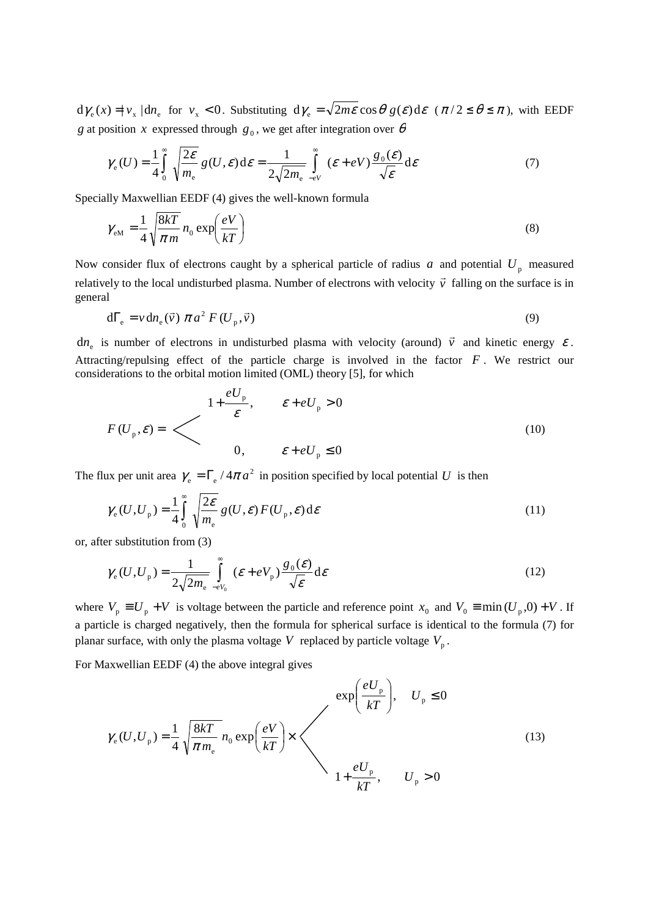$d\gamma_e(x) = |v_x| \, d\eta_e$  for  $v_x < 0$ . Substituting  $d\gamma_e = \sqrt{2m\varepsilon} \cos\theta g(\varepsilon) d\varepsilon$   $(\pi/2 \le \theta \le \pi)$ , with EEDF *g* at position *x* expressed through  $g_0$ , we get after integration over  $\theta$ 

$$
\gamma_{\rm e}(U) = \frac{1}{4} \int_{0}^{\infty} \sqrt{\frac{2\varepsilon}{m_{\rm e}}} g(U,\varepsilon) d\varepsilon = \frac{1}{2\sqrt{2m_{\rm e}}} \int_{-eV}^{\infty} (\varepsilon + eV) \frac{g_0(\varepsilon)}{\sqrt{\varepsilon}} d\varepsilon \tag{7}
$$

Specially Maxwellian EEDF (4) gives the well-known formula

$$
\gamma_{\rm em} = \frac{1}{4} \sqrt{\frac{8kT}{\pi m}} n_0 \exp\left(\frac{eV}{kT}\right)
$$
\n(8)

Now consider flux of electrons caught by a spherical particle of radius *a* and potential  $U_p$  measured relatively to the local undisturbed plasma. Number of electrons with velocity  $\vec{v}$  falling on the surface is in general  $\overrightarrow{r}$   $\overrightarrow{r}$ 

$$
d\Gamma_{\rm e} = v \, dn_{\rm e}(\vec{v}) \pi a^2 F(U_{\rm p}, \vec{v}) \tag{9}
$$

 $dn_e$  is number of electrons in undisturbed plasma with velocity (around)  $\vec{v}$  $\overline{a}$ and kinetic energy  $\varepsilon$ . Attracting/repulsing effect of the particle charge is involved in the factor *F* . We restrict our considerations to the orbital motion limited (OML) theory [5], for which

$$
F(U_{p}, \varepsilon) = \begin{cases} 1 + \frac{eU_{p}}{\varepsilon}, & \varepsilon + eU_{p} > 0 \\ 0, & \varepsilon + eU_{p} \le 0 \end{cases}
$$
 (10)

The flux per unit area  $\gamma_e = \Gamma_e / 4\pi a^2$  in position specified by local potential *U* is then

$$
\gamma_{\rm e}(U, U_{\rm p}) = \frac{1}{4} \int_{0}^{\infty} \sqrt{\frac{2\varepsilon}{m_{\rm e}}} g(U, \varepsilon) F(U_{\rm p}, \varepsilon) d\varepsilon \tag{11}
$$

or, after substitution from (3)

$$
\gamma_{\rm e}(U, U_{\rm p}) = \frac{1}{2\sqrt{2m_{\rm e}}} \int_{-eV_0}^{\infty} (\mathcal{E} + eV_{\rm p}) \frac{g_0(\mathcal{E})}{\sqrt{\mathcal{E}}} d\mathcal{E}
$$
\n(12)

where  $V_p \equiv U_p + V$  is voltage between the particle and reference point  $x_0$  and  $V_0 \equiv \min (U_p, 0) + V$ . If a particle is charged negatively, then the formula for spherical surface is identical to the formula (7) for planar surface, with only the plasma voltage V replaced by particle voltage  $V_p$ .

For Maxwellian EEDF (4) the above integral gives

$$
\gamma_{\rm e}(U, U_{\rm p}) = \frac{1}{4} \sqrt{\frac{8kT}{\pi m_{\rm e}}} n_{\rm 0} \exp\left(\frac{eV}{kT}\right) \times \begin{pmatrix} \exp\left(\frac{eU_{\rm p}}{kT}\right), & U_{\rm p} \le 0 \\ 1 + \frac{eU_{\rm p}}{kT}, & U_{\rm p} > 0 \end{pmatrix}
$$
\n(13)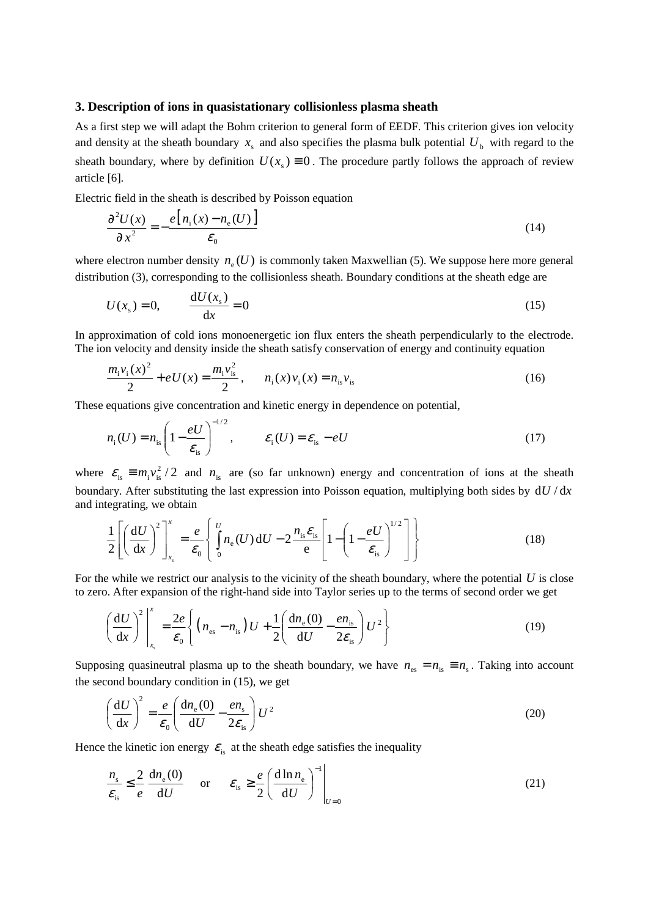#### **3. Description of ions in quasistationary collisionless plasma sheath**

As a first step we will adapt the Bohm criterion to general form of EEDF. This criterion gives ion velocity and density at the sheath boundary  $x_s$  and also specifies the plasma bulk potential  $U_b$  with regard to the sheath boundary, where by definition  $U(x<sub>s</sub>) = 0$ . The procedure partly follows the approach of review article [6].

Electric field in the sheath is described by Poisson equation

$$
\frac{\partial^2 U(x)}{\partial x^2} = -\frac{e\big[n_i(x) - n_e(U)\big]}{\varepsilon_0} \tag{14}
$$

where electron number density  $n_e(U)$  is commonly taken Maxwellian (5). We suppose here more general distribution (3), corresponding to the collisionless sheath. Boundary conditions at the sheath edge are

$$
U(xs) = 0, \qquad \frac{\mathrm{d}U(xs)}{\mathrm{d}x} = 0 \tag{15}
$$

In approximation of cold ions monoenergetic ion flux enters the sheath perpendicularly to the electrode. The ion velocity and density inside the sheath satisfy conservation of energy and continuity equation

$$
\frac{m_{i}v_{i}(x)^{2}}{2} + eU(x) = \frac{m_{i}v_{is}^{2}}{2}, \qquad n_{i}(x)v_{i}(x) = n_{is}v_{is}
$$
\n(16)

These equations give concentration and kinetic energy in dependence on potential,

$$
n_{\rm i}(U) = n_{\rm is} \left(1 - \frac{eU}{\varepsilon_{\rm is}}\right)^{-1/2}, \qquad \varepsilon_{\rm i}(U) = \varepsilon_{\rm is} - eU \tag{17}
$$

where  $\varepsilon_{\rm is} \equiv m_{\rm i} v_{\rm is}^2/2$  and  $n_{\rm is}$  are (so far unknown) energy and concentration of ions at the sheath boundary. After substituting the last expression into Poisson equation, multiplying both sides by  $dU/dx$ and integrating, we obtain

$$
\frac{1}{2}\left[\left(\frac{\mathrm{d}U}{\mathrm{d}x}\right)^2\right]_{x_\mathrm{s}}^x = \frac{e}{\varepsilon_0}\left\{\int_0^U n_\mathrm{e}(U)\,\mathrm{d}U - 2\frac{n_\mathrm{s}\varepsilon_\mathrm{s}}{\mathrm{e}}\left[1-\left(1-\frac{eU}{\varepsilon_\mathrm{s}}\right)^{1/2}\right]\right\} \tag{18}
$$

For the while we restrict our analysis to the vicinity of the sheath boundary, where the potential *U* is close to zero. After expansion of the right-hand side into Taylor series up to the terms of second order we get

$$
\left(\frac{\mathrm{d}U}{\mathrm{d}x}\right)^2 \bigg|_{x_\mathrm{s}}^x = \frac{2e}{\varepsilon_0} \left\{ \left( n_{\mathrm{es}} - n_{\mathrm{is}} \right) U + \frac{1}{2} \left( \frac{\mathrm{d}n_{\mathrm{e}}(0)}{\mathrm{d}U} - \frac{e n_{\mathrm{is}}}{2\varepsilon_{\mathrm{is}}} \right) U^2 \right\} \tag{19}
$$

Supposing quasineutral plasma up to the sheath boundary, we have  $n_{\rm es} = n_{\rm is} \equiv n_{\rm s}$ . Taking into account the second boundary condition in (15), we get

$$
\left(\frac{\mathrm{d}U}{\mathrm{d}x}\right)^2 = \frac{e}{\mathcal{E}_0} \left(\frac{\mathrm{d}n_\mathrm{e}(0)}{\mathrm{d}U} - \frac{en_\mathrm{s}}{2\mathcal{E}_\mathrm{is}}\right) U^2 \tag{20}
$$

Hence the kinetic ion energy  $\varepsilon_{i}$  at the sheath edge satisfies the inequality

$$
\frac{n_{\rm s}}{\varepsilon_{\rm is}} \le \frac{2}{e} \frac{\mathrm{d}n_{\rm e}(0)}{\mathrm{d}U} \quad \text{or} \quad \varepsilon_{\rm is} \ge \frac{e}{2} \left( \frac{\mathrm{d}\ln n_{\rm e}}{\mathrm{d}U} \right)^{-1} \Big|_{U=0} \tag{21}
$$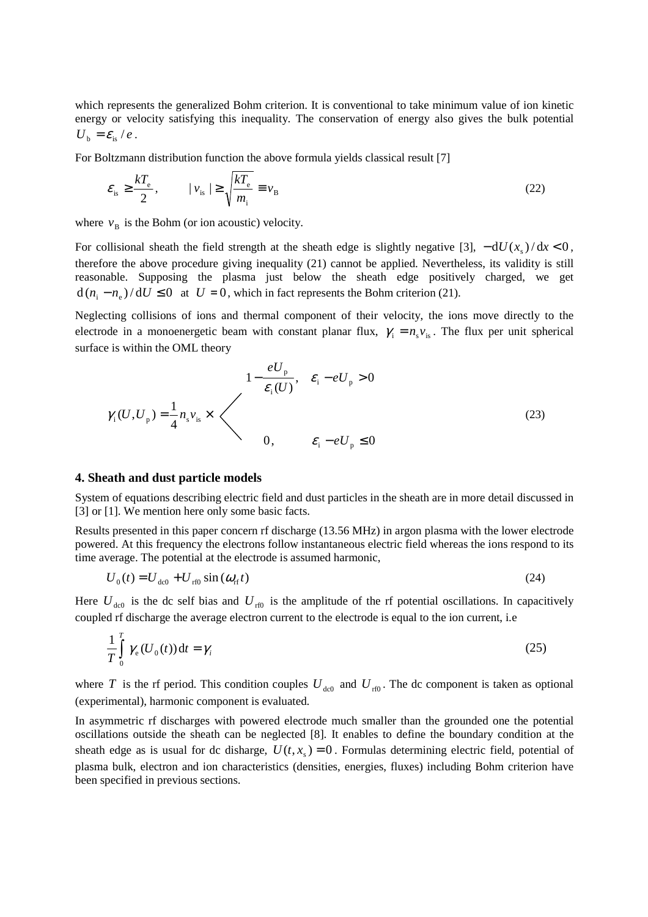which represents the generalized Bohm criterion. It is conventional to take minimum value of ion kinetic energy or velocity satisfying this inequality. The conservation of energy also gives the bulk potential  $U_{\rm b} = \varepsilon_{\rm is}/e$ .

For Boltzmann distribution function the above formula yields classical result [7]

$$
\varepsilon_{\rm is} \ge \frac{kT_{\rm e}}{2}, \qquad |v_{\rm is}| \ge \sqrt{\frac{kT_{\rm e}}{m_{\rm i}}} \equiv v_{\rm B}
$$

where  $v_B$  is the Bohm (or ion acoustic) velocity.

For collisional sheath the field strength at the sheath edge is slightly negative [3],  $-dU(x_s)/dx < 0$ , therefore the above procedure giving inequality (21) cannot be applied. Nevertheless, its validity is still reasonable. Supposing the plasma just below the sheath edge positively charged, we get  $d(n_i - n_e)/dU \le 0$  at  $U = 0$ , which in fact represents the Bohm criterion (21).

Neglecting collisions of ions and thermal component of their velocity, the ions move directly to the electrode in a monoenergetic beam with constant planar flux,  $\gamma_i = n_s v_{is}$ . The flux per unit spherical surface is within the OML theory

$$
1 - \frac{eU_{\mathrm{p}}}{\varepsilon_{\mathrm{i}}(U)}, \quad \varepsilon_{\mathrm{i}} - eU_{\mathrm{p}} > 0
$$
  

$$
\gamma_{\mathrm{i}}(U, U_{\mathrm{p}}) = \frac{1}{4} n_{\mathrm{s}} v_{\mathrm{is}} \times \begin{cases} 1 - \frac{eU_{\mathrm{p}}}{\varepsilon_{\mathrm{i}}(U)}, & \varepsilon_{\mathrm{i}} - eU_{\mathrm{p}} > 0 \\ 0, & \varepsilon_{\mathrm{i}} - eU_{\mathrm{p}} \le 0 \end{cases}
$$
 (23)

#### **4. Sheath and dust particle models**

System of equations describing electric field and dust particles in the sheath are in more detail discussed in [3] or [1]. We mention here only some basic facts.

Results presented in this paper concern rf discharge (13.56 MHz) in argon plasma with the lower electrode powered. At this frequency the electrons follow instantaneous electric field whereas the ions respond to its time average. The potential at the electrode is assumed harmonic,

$$
U_0(t) = U_{\text{dc0}} + U_{\text{rf0}} \sin(\omega_{\text{rf}}t) \tag{24}
$$

Here  $U_{\text{de0}}$  is the dc self bias and  $U_{\text{rf0}}$  is the amplitude of the rf potential oscillations. In capacitively coupled rf discharge the average electron current to the electrode is equal to the ion current, i.e

$$
\frac{1}{T} \int_{0}^{T} \gamma_{e}(U_{0}(t)) dt = \gamma_{i}
$$
\n(25)

where *T* is the rf period. This condition couples  $U_{\text{d}^{(0)}}$  and  $U_{\text{r}^{(0)}}$ . The dc component is taken as optional (experimental), harmonic component is evaluated.

In asymmetric rf discharges with powered electrode much smaller than the grounded one the potential oscillations outside the sheath can be neglected [8]. It enables to define the boundary condition at the sheath edge as is usual for dc disharge,  $U(t, x) = 0$ . Formulas determining electric field, potential of plasma bulk, electron and ion characteristics (densities, energies, fluxes) including Bohm criterion have been specified in previous sections.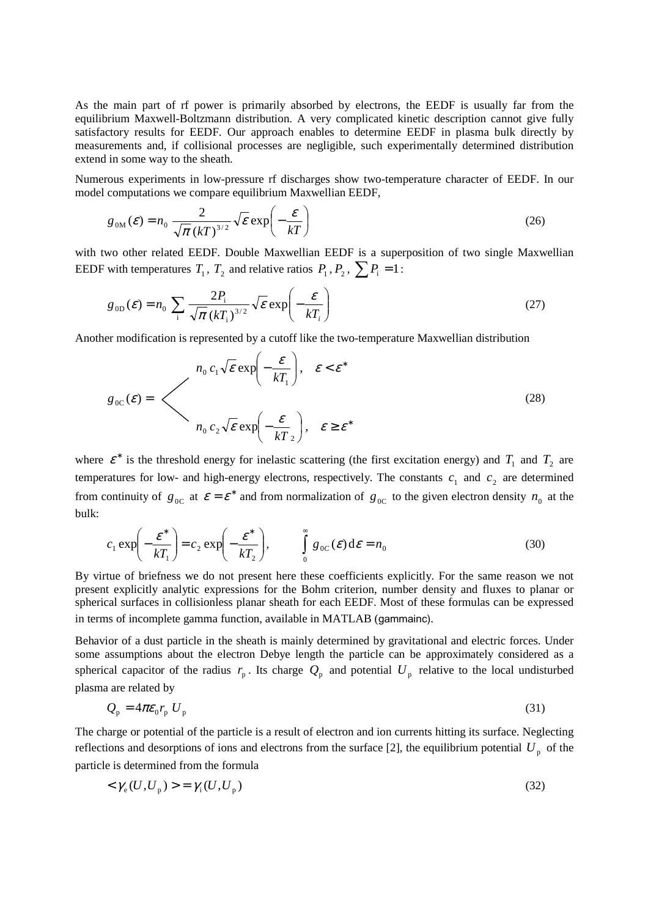As the main part of rf power is primarily absorbed by electrons, the EEDF is usually far from the equilibrium Maxwell-Boltzmann distribution. A very complicated kinetic description cannot give fully satisfactory results for EEDF. Our approach enables to determine EEDF in plasma bulk directly by measurements and, if collisional processes are negligible, such experimentally determined distribution extend in some way to the sheath.

Numerous experiments in low-pressure rf discharges show two-temperature character of EEDF. In our model computations we compare equilibrium Maxwellian EEDF,

$$
g_{0M}(\mathcal{E}) = n_0 \frac{2}{\sqrt{\pi} (kT)^{3/2}} \sqrt{\mathcal{E}} \exp\left(-\frac{\mathcal{E}}{kT}\right)
$$
 (26)

with two other related EEDF. Double Maxwellian EEDF is a superposition of two single Maxwellian EEDF with temperatures  $T_1$ ,  $T_2$  and relative ratios  $P_1$ ,  $P_2$ ,  $\sum P_i = 1$ :

$$
g_{0D}(\mathcal{E}) = n_0 \sum_{i} \frac{2P_i}{\sqrt{\pi} (kT_i)^{3/2}} \sqrt{\mathcal{E}} \exp\left(-\frac{\mathcal{E}}{kT_i}\right)
$$
 (27)

Another modification is represented by a cutoff like the two-temperature Maxwellian distribution

$$
g_{0C}(\varepsilon) = \left\langle n_0 c_1 \sqrt{\varepsilon} \exp\left(-\frac{\varepsilon}{kT_1}\right), \quad \varepsilon < \varepsilon^* \right\rangle
$$
  
\n
$$
n_0 c_2 \sqrt{\varepsilon} \exp\left(-\frac{\varepsilon}{kT_2}\right), \quad \varepsilon \ge \varepsilon^*
$$
\n(28)

where  $\varepsilon^*$  is the threshold energy for inelastic scattering (the first excitation energy) and  $T_1$  and  $T_2$  are temperatures for low- and high-energy electrons, respectively. The constants  $c_1$  and  $c_2$  are determined from continuity of  $g_{0C}$  at  $\varepsilon = \varepsilon^*$  and from normalization of  $g_{0C}$  to the given electron density  $n_0$  at the bulk:

$$
c_1 \exp\left(-\frac{\mathcal{E}^*}{kT_1}\right) = c_2 \exp\left(-\frac{\mathcal{E}^*}{kT_2}\right), \qquad \int_0^\infty g_{0C}(\mathcal{E}) d\mathcal{E} = n_0 \tag{30}
$$

By virtue of briefness we do not present here these coefficients explicitly. For the same reason we not present explicitly analytic expressions for the Bohm criterion, number density and fluxes to planar or spherical surfaces in collisionless planar sheath for each EEDF. Most of these formulas can be expressed in terms of incomplete gamma function, available in MATLAB (gammainc).

Behavior of a dust particle in the sheath is mainly determined by gravitational and electric forces. Under some assumptions about the electron Debye length the particle can be approximately considered as a spherical capacitor of the radius  $r_p$ . Its charge  $Q_p$  and potential  $U_p$  relative to the local undisturbed plasma are related by

$$
Q_{\rm p} = 4\pi\epsilon_0 r_{\rm p} U_{\rm p} \tag{31}
$$

The charge or potential of the particle is a result of electron and ion currents hitting its surface. Neglecting reflections and desorptions of ions and electrons from the surface [2], the equilibrium potential  $U_p$  of the particle is determined from the formula

$$
\langle \gamma_{\rm e}(U, U_{\rm p}) \rangle = \gamma_{\rm i}(U, U_{\rm p}) \tag{32}
$$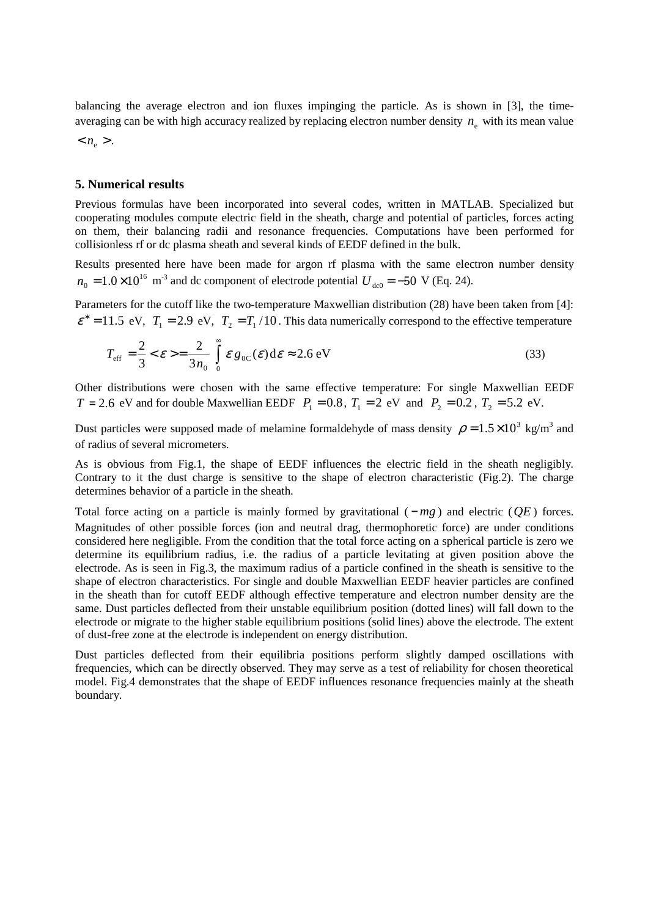balancing the average electron and ion fluxes impinging the particle. As is shown in [3], the timeaveraging can be with high accuracy realized by replacing electron number density  $n_e$  with its mean value

 $n_e >$ .

#### **5. Numerical results**

Previous formulas have been incorporated into several codes, written in MATLAB. Specialized but cooperating modules compute electric field in the sheath, charge and potential of particles, forces acting on them, their balancing radii and resonance frequencies. Computations have been performed for collisionless rf or dc plasma sheath and several kinds of EEDF defined in the bulk.

Results presented here have been made for argon rf plasma with the same electron number density 16  $n_0 = 1.0 \times 10^{16}$  m<sup>-3</sup> and dc component of electrode potential  $U_{\text{dc0}} = -50$  V (Eq. 24).

Parameters for the cutoff like the two-temperature Maxwellian distribution (28) have been taken from [4]:  $\varepsilon^* = 11.5 \text{ eV}, T_1 = 2.9 \text{ eV}, T_2 = T_1/10$ . This data numerically correspond to the effective temperature

$$
T_{\rm eff} = \frac{2}{3} < \varepsilon > = \frac{2}{3n_0} \int_0^\infty \varepsilon g_{0C}(\varepsilon) \, d\varepsilon \approx 2.6 \, \text{eV} \tag{33}
$$

Other distributions were chosen with the same effective temperature: For single Maxwellian EEDF *T* = 2.6 eV and for double Maxwellian EEDF  $P_1 = 0.8$ ,  $T_1 = 2$  eV and  $P_2 = 0.2$ ,  $T_2 = 5.2$  eV.

Dust particles were supposed made of melamine formaldehyde of mass density  $\rho = 1.5 \times 10^3$  kg/m<sup>3</sup> and of radius of several micrometers.

As is obvious from Fig.1, the shape of EEDF influences the electric field in the sheath negligibly. Contrary to it the dust charge is sensitive to the shape of electron characteristic (Fig.2). The charge determines behavior of a particle in the sheath.

Total force acting on a particle is mainly formed by gravitational ( − *mg* ) and electric (*QE* ) forces. Magnitudes of other possible forces (ion and neutral drag, thermophoretic force) are under conditions considered here negligible. From the condition that the total force acting on a spherical particle is zero we determine its equilibrium radius, i.e. the radius of a particle levitating at given position above the electrode. As is seen in Fig.3, the maximum radius of a particle confined in the sheath is sensitive to the shape of electron characteristics. For single and double Maxwellian EEDF heavier particles are confined in the sheath than for cutoff EEDF although effective temperature and electron number density are the same. Dust particles deflected from their unstable equilibrium position (dotted lines) will fall down to the electrode or migrate to the higher stable equilibrium positions (solid lines) above the electrode. The extent of dust-free zone at the electrode is independent on energy distribution.

Dust particles deflected from their equilibria positions perform slightly damped oscillations with frequencies, which can be directly observed. They may serve as a test of reliability for chosen theoretical model. Fig.4 demonstrates that the shape of EEDF influences resonance frequencies mainly at the sheath boundary.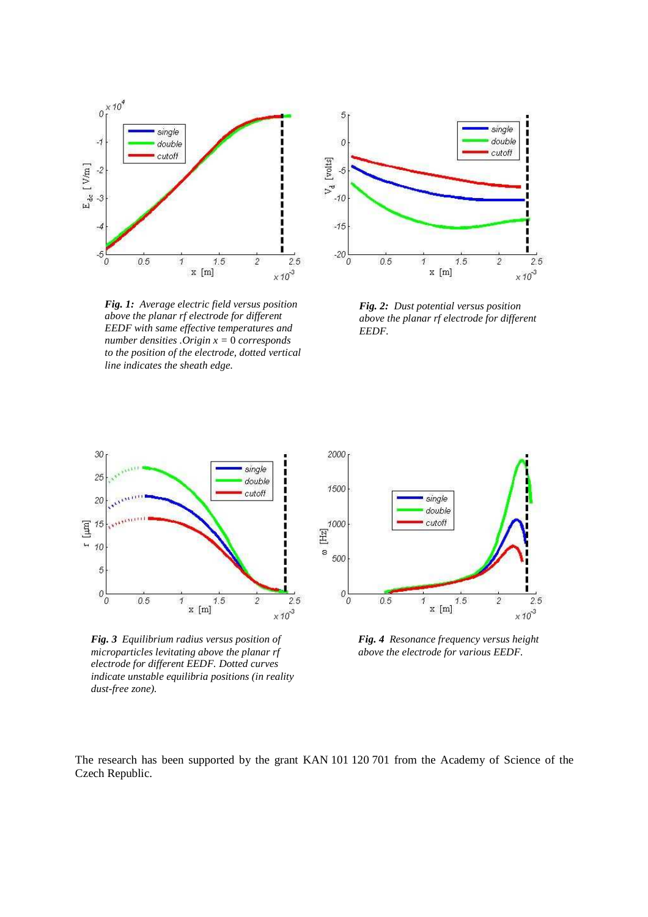

*Fig. 1: Average electric field versus position above the planar rf electrode for different EEDF with same effective temperatures and number densities .Origin x =* 0 *corresponds to the position of the electrode, dotted vertical line indicates the sheath edge.* 



*Fig. 2: Dust potential versus position above the planar rf electrode for different EEDF.* 



*Fig. 3 Equilibrium radius versus position of microparticles levitating above the planar rf electrode for different EEDF. Dotted curves indicate unstable equilibria positions (in reality dust-free zone).* 



*Fig. 4 Resonance frequency versus height above the electrode for various EEDF.*

The research has been supported by the grant KAN 101 120 701 from the Academy of Science of the Czech Republic.